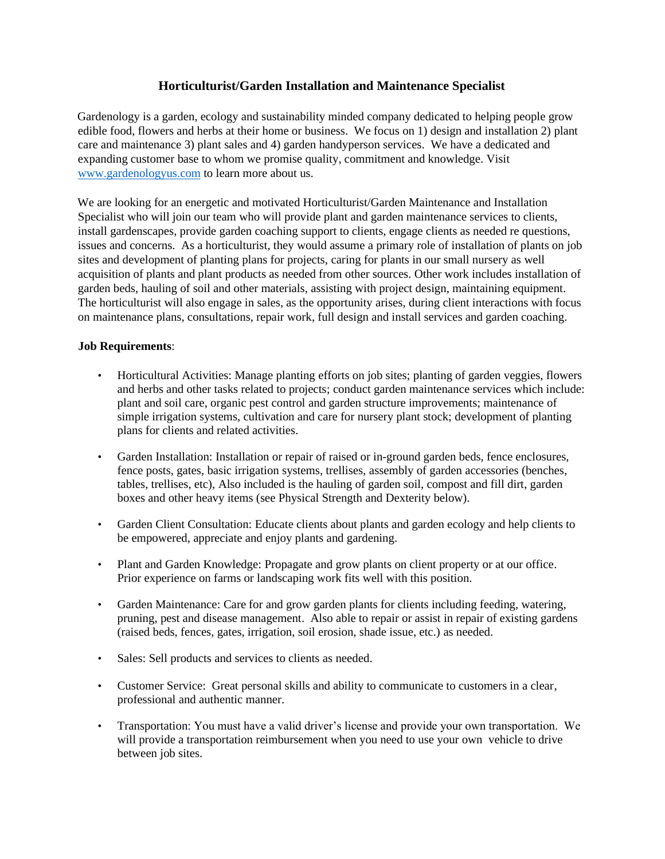## **Horticulturist/Garden Installation and Maintenance Specialist**

Gardenology is a garden, ecology and sustainability minded company dedicated to helping people grow edible food, flowers and herbs at their home or business. We focus on 1) design and installation 2) plant care and maintenance 3) plant sales and 4) garden handyperson services. We have a dedicated and expanding customer base to whom we promise quality, commitment and knowledge. Visit [www.gardenologyus.com](http://www.gardenologyus.com/) to learn more about us.

We are looking for an energetic and motivated Horticulturist/Garden Maintenance and Installation Specialist who will join our team who will provide plant and garden maintenance services to clients, install gardenscapes, provide garden coaching support to clients, engage clients as needed re questions, issues and concerns. As a horticulturist, they would assume a primary role of installation of plants on job sites and development of planting plans for projects, caring for plants in our small nursery as well acquisition of plants and plant products as needed from other sources. Other work includes installation of garden beds, hauling of soil and other materials, assisting with project design, maintaining equipment. The horticulturist will also engage in sales, as the opportunity arises, during client interactions with focus on maintenance plans, consultations, repair work, full design and install services and garden coaching.

## **Job Requirements**:

- Horticultural Activities: Manage planting efforts on job sites; planting of garden veggies, flowers and herbs and other tasks related to projects; conduct garden maintenance services which include: plant and soil care, organic pest control and garden structure improvements; maintenance of simple irrigation systems, cultivation and care for nursery plant stock; development of planting plans for clients and related activities.
- Garden Installation: Installation or repair of raised or in-ground garden beds, fence enclosures, fence posts, gates, basic irrigation systems, trellises, assembly of garden accessories (benches, tables, trellises, etc), Also included is the hauling of garden soil, compost and fill dirt, garden boxes and other heavy items (see Physical Strength and Dexterity below).
- Garden Client Consultation: Educate clients about plants and garden ecology and help clients to be empowered, appreciate and enjoy plants and gardening.
- Plant and Garden Knowledge: Propagate and grow plants on client property or at our office. Prior experience on farms or landscaping work fits well with this position.
- Garden Maintenance: Care for and grow garden plants for clients including feeding, watering, pruning, pest and disease management. Also able to repair or assist in repair of existing gardens (raised beds, fences, gates, irrigation, soil erosion, shade issue, etc.) as needed.
- Sales: Sell products and services to clients as needed.
- Customer Service: Great personal skills and ability to communicate to customers in a clear, professional and authentic manner.
- Transportation: You must have a valid driver's license and provide your own transportation. We will provide a transportation reimbursement when you need to use your own vehicle to drive between job sites.